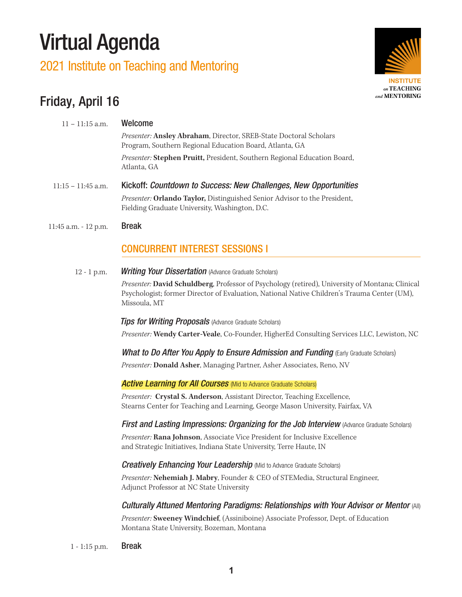# Virtual Agenda

## 2021 Institute on Teaching and Mentoring



## Friday, April 16

| $11 - 11:15$ a.m.    | Welcome                                                                                                                      |
|----------------------|------------------------------------------------------------------------------------------------------------------------------|
|                      | Presenter: Ansley Abraham, Director, SREB-State Doctoral Scholars<br>Program, Southern Regional Education Board, Atlanta, GA |
|                      | Presenter: Stephen Pruitt, President, Southern Regional Education Board,<br>Atlanta, GA                                      |
| $11:15 - 11:45$ a.m. | Kickoff: Countdown to Success: New Challenges, New Opportunities                                                             |
|                      | Presenter: Orlando Taylor, Distinguished Senior Advisor to the President,<br>Fielding Graduate University, Washington, D.C.  |
| 11:45 a.m. - 12 p.m. | <b>Break</b>                                                                                                                 |
|                      | <b>CONCURRENT INTEREST SESSIONS I</b>                                                                                        |
| $12 - 1$ p.m.        | <b>Writing Your Dissertation</b> (Advance Graduate Scholars)                                                                 |
|                      | Dreaserton David Cohnidhang Drefessor of Davehology (retired) University of Mari                                             |

 *Presenter:* **David Schuldberg**, Professor of Psychology (retired), University of Montana; Clinical Psychologist; former Director of Evaluation, National Native Children's Trauma Center (UM), Missoula, MT

*Tips for Writing Proposals* (Advance Graduate Scholars)

*Presenter:* **Wendy Carter-Veale**, Co-Founder, HigherEd Consulting Services LLC, Lewiston, NC

*What to Do After You Apply to Ensure Admission and Funding (Early Graduate Scholars)* 

*Presenter:* **Donald Asher**, Managing Partner, Asher Associates, Reno, NV

**Active Learning for All Courses** (Mid to Advance Graduate Scholars)

 *Presenter:* **Crystal S. Anderson**, Assistant Director, Teaching Excellence, Stearns Center for Teaching and Learning, George Mason University, Fairfax, VA

*First and Lasting Impressions: Organizing for the Job Interview (Advance Graduate Scholars)* 

*Presenter:* **Rana Johnson**, Associate Vice President for Inclusive Excellence and Strategic Initiatives, Indiana State University, Terre Haute, IN

*Creatively Enhancing Your Leadership* (Mid to Advance Graduate Scholars)

 *Presenter:* **Nehemiah J. Mabry**, Founder & CEO of STEMedia, Structural Engineer, Adjunct Professor at NC State University

#### *Culturally Attuned Mentoring Paradigms: Relationships with Your Advisor or Mentor (All)*

*Presenter:* **Sweeney Windchief**, (Assiniboine) Associate Professor, Dept. of Education Montana State University, Bozeman, Montana

1 - 1:15 p.m. Break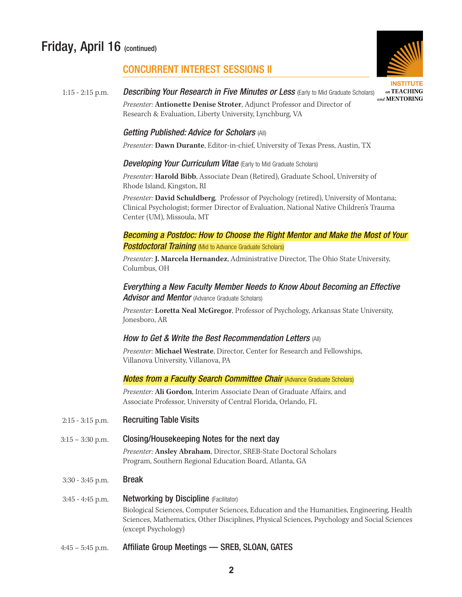## Friday, April 16 (continued)

## **INSTITUTE** on TEACHING and MENTORING

#### CONCURRENT INTEREST SESSIONS II

1:15 - 2:15 p.m. *Describing Your Research in Five Minutes or Less* (Early to Mid Graduate Scholars)  *Presenter:* **Antionette Denise Stroter**, Adjunct Professor and Director of Research & Evaluation, Liberty University, Lynchburg, VA

#### *Getting Published: Advice for Scholars* (All)

 *Presenter:* **Dawn Durante**, Editor-in-chief, University of Texas Press, Austin, TX

#### *Developing Your Curriculum Vitae* (Early to Mid Graduate Scholars)

 *Presenter:* **Harold Bibb**, Associate Dean (Retired), Graduate School, University of Rhode Island, Kingston, RI

*Presenter:* **David Schuldberg**, Professor of Psychology (retired), University of Montana; Clinical Psychologist; former Director of Evaluation, National Native Children's Trauma Center (UM), Missoula, MT

#### *Becoming a Postdoc: How to Choose the Right Mentor and Make the Most of Your*  **Postdoctoral Training** (Mid to Advance Graduate Scholars)

*Presenter:* **J. Marcela Hernandez**, Administrative Director, The Ohio State University, Columbus, OH

#### *Everything a New Faculty Member Needs to Know About Becoming an Effective*  Advisor and Mentor (Advance Graduate Scholars)

*Presenter:* **Loretta Neal McGregor**, Professor of Psychology, Arkansas State University, Jonesboro, AR

#### *How to Get & Write the Best Recommendation Letters* (All)

*Presenter:* **Michael Westrate**, Director, Center for Research and Fellowships, Villanova University, Villanova, PA

#### *Notes from a Faculty Search Committee Chair (Advance Graduate Scholars)*

*Presenter:* **Ali Gordon**, Interim Associate Dean of Graduate Affairs, and Associate Professor, University of Central Florida, Orlando, FL

- $2:15 3:15$  p.m. Recruiting Table Visits
- 3:15 3:30 p.m. Closing/Housekeeping Notes for the next day

 *Presenter:* **Ansley Abraham**, Director, SREB-State Doctoral Scholars Program, Southern Regional Education Board, Atlanta, GA

3:30 - 3:45 p.m. Break

#### 3:45 - 4:45 p.m. Networking by Discipline (Facilitator) Biological Sciences, Computer Sciences, Education and the Humanities, Engineering, Health Sciences, Mathematics, Other Disciplines, Physical Sciences, Psychology and Social Sciences (except Psychology)

4:45 – 5:45 p.m. Affiliate Group Meetings — SREB, SLOAN, GATES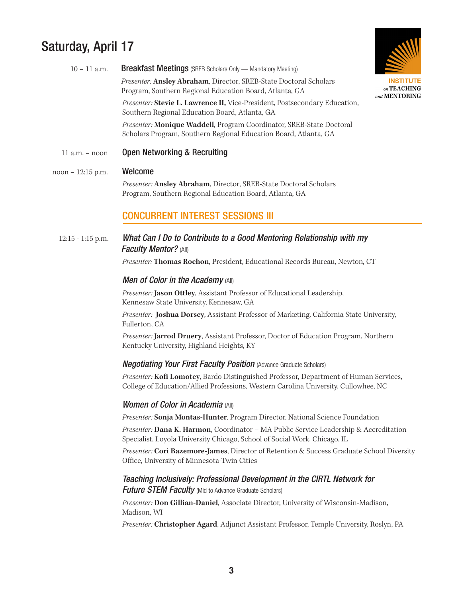## Saturday, April 17



**INSTITUTE** on TEACHING and MENTORING

| $10 - 11$ a.m. | <b>Breakfast Meetings</b> (SREB Scholars Only — Mandatory Meeting)                                                                       |
|----------------|------------------------------------------------------------------------------------------------------------------------------------------|
|                | Presenter: Ansley Abraham, Director, SREB-State Doctoral Scholars<br>Program, Southern Regional Education Board, Atlanta, GA             |
|                | Presenter: Stevie L. Lawrence II, Vice-President, Postsecondary Education,<br>Southern Regional Education Board, Atlanta, GA             |
|                | Presenter: Monique Waddell, Program Coordinator, SREB-State Doctoral<br>Scholars Program, Southern Regional Education Board, Atlanta, GA |
| 11 a.m. – noon | Open Networking & Recruiting                                                                                                             |

#### noon – 12:15 p.m. Welcome

 *Presenter:* **Ansley Abraham**, Director, SREB-State Doctoral Scholars Program, Southern Regional Education Board, Atlanta, GA

#### **CONCURRENT INTEREST SESSIONS III**

#### 12:15 - 1:15 p.m. *What Can I Do to Contribute to a Good Mentoring Relationship with my Faculty Mentor?* (All)

 *Presenter:* **Thomas Rochon**, President, Educational Records Bureau, Newton, CT

#### *Men of Color in the Academy* (All)

*Presenter:* **Jason Ottley**, Assistant Professor of Educational Leadership, Kennesaw State University, Kennesaw, GA

*Presenter:* **Joshua Dorsey**, Assistant Professor of Marketing, California State University, Fullerton, CA

 *Presenter:* **Jarrod Druery**, Assistant Professor, Doctor of Education Program, Northern Kentucky University, Highland Heights, KY

#### *Negotiating Your First Faculty Position (Advance Graduate Scholars)*

 *Presenter:* **Kofi Lomotey**, Bardo Distinguished Professor, Department of Human Services, College of Education/Allied Professions, Western Carolina University, Cullowhee, NC

#### *Women of Color in Academia* (All)

*Presenter:* **Sonja Montas-Hunter**, Program Director, National Science Foundation

 *Presenter:* **Dana K. Harmon**, Coordinator – MA Public Service Leadership & Accreditation Specialist, Loyola University Chicago, School of Social Work, Chicago, IL

 *Presenter:* **Cori Bazemore-James**, Director of Retention & Success Graduate School Diversity Office, University of Minnesota-Twin Cities

#### *Teaching Inclusively: Professional Development in the CIRTL Network for Future STEM Faculty* (Mid to Advance Graduate Scholars)

*Presenter:* **Don Gillian-Daniel**, Associate Director, University of Wisconsin-Madison, Madison, WI

*Presenter:* **Christopher Agard**, Adjunct Assistant Professor, Temple University, Roslyn, PA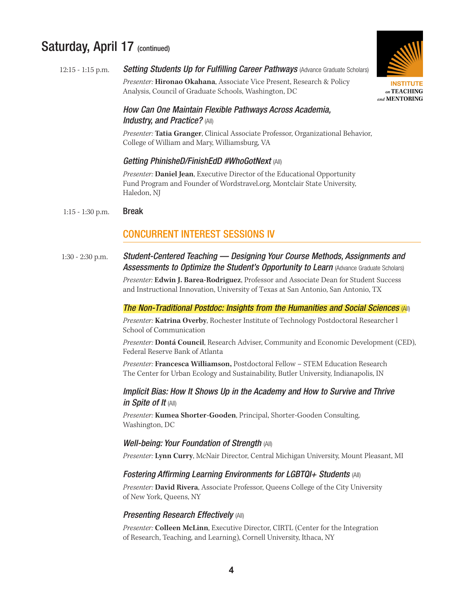### Saturday, April 17 (continued)



## 12:15 - 1:15 p.m. *Setting Students Up for Fulfilling Career Pathways (Advance Graduate Scholars)*

*Presenter:* **Hironao Okahana**, Associate Vice Present, Research & Policy Analysis, Council of Graduate Schools, Washington, DC

#### *How Can One Maintain Flexible Pathways Across Academia, Industry, and Practice?* (All)

 *Presenter:* **Tatia Granger**, Clinical Associate Professor, Organizational Behavior, College of William and Mary, Williamsburg, VA

#### *Getting PhinisheD/FinishEdD #WhoGotNext* (All)

*Presenter:* **Daniel Jean**, Executive Director of the Educational Opportunity Fund Program and Founder of Wordstravel.org, Montclair State University, Haledon, NJ

#### 1:15 - 1:30 p.m. Break

#### CONCURRENT INTEREST SESSIONS IV

1:30 - 2:30 p.m. *Student-Centered Teaching — Designing Your Course Methods, Assignments and*  **Assessments to Optimize the Student's Opportunity to Learn (Advance Graduate Scholars)** 

> *Presenter:* **Edwin J. Barea-Rodriguez**, Professor and Associate Dean for Student Success and Instructional Innovation, University of Texas at San Antonio, San Antonio, TX

#### *The Non-Traditional Postdoc: Insights from the Humanities and Social Sciences* (All)

*Presenter:* **Katrina Overby**, Rochester Institute of Technology Postdoctoral Researcher l School of Communication

*Presenter:* **Dontá Council**, Research Adviser, Community and Economic Development (CED), Federal Reserve Bank of Atlanta

 *Presenter:* **Francesca Williamson,** Postdoctoral Fellow – STEM Education Research The Center for Urban Ecology and Sustainability, Butler University, Indianapolis, IN

#### *Implicit Bias: How It Shows Up in the Academy and How to Survive and Thrive in Spite of It (All)*

 *Presenter:* **Kumea Shorter-Gooden**, Principal, Shorter-Gooden Consulting, Washington, DC

#### *Well-being: Your Foundation of Strength* (All)

*Presenter:* **Lynn Curry**, McNair Director, Central Michigan University, Mount Pleasant, MI

#### *Fostering Affirming Learning Environments for LGBTQI+ Students* (All)

*Presenter:* **David Rivera**, Associate Professor, Queens College of the City University of New York, Queens, NY

#### *Presenting Research Effectively* (All)

*Presenter:* **Colleen McLinn**, Executive Director, CIRTL (Center for the Integration of Research, Teaching, and Learning), Cornell University, Ithaca, NY